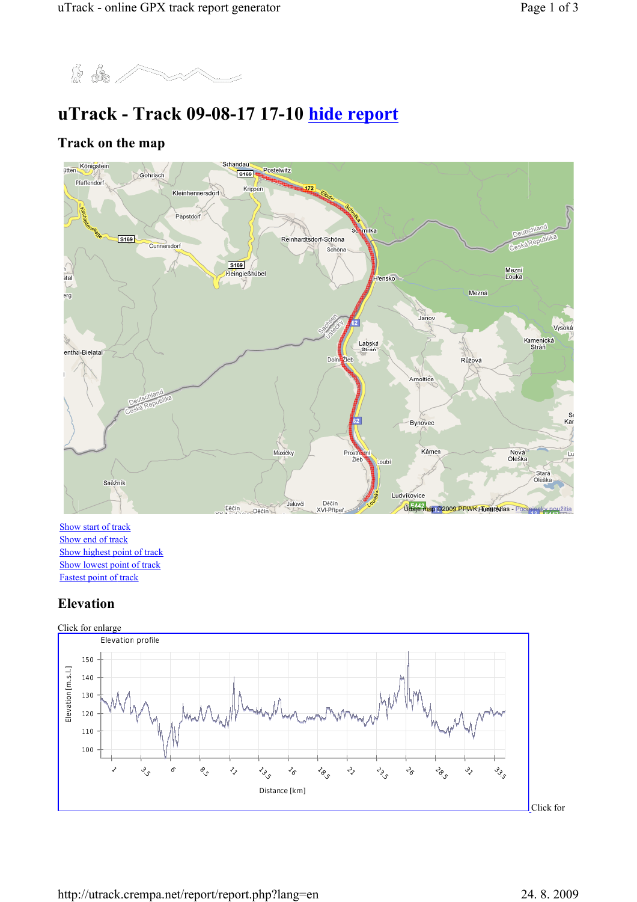

# uTrack - Track 09-08-17 17-10 hide report

#### Track on the map



Show start of track Show end of track Show highest point of track Show lowest point of track Fastest point of track

## Elevation

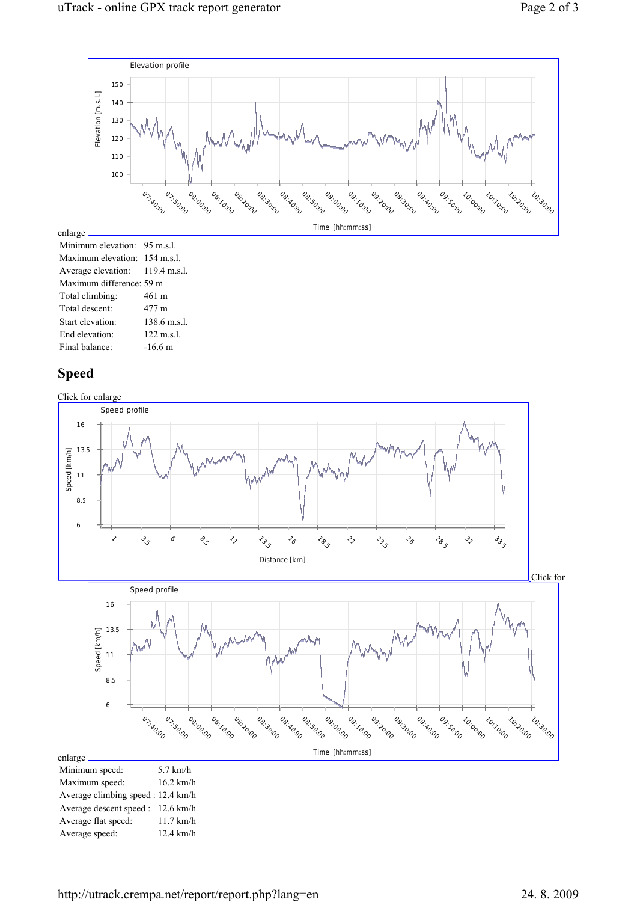

#### Speed